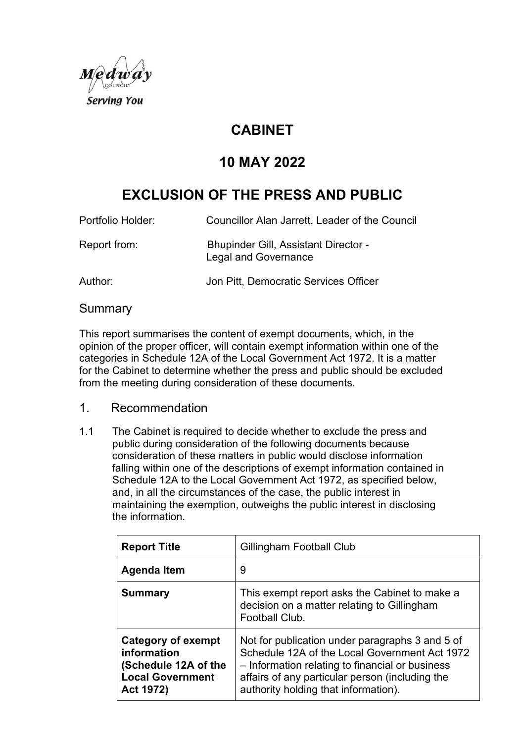

# **CABINET**

# **10 MAY 2022**

# **EXCLUSION OF THE PRESS AND PUBLIC**

Portfolio Holder: Councillor Alan Jarrett, Leader of the Council

Report from: Bhupinder Gill, Assistant Director - Legal and Governance

Author: Jon Pitt, Democratic Services Officer

#### **Summary**

This report summarises the content of exempt documents, which, in the opinion of the proper officer, will contain exempt information within one of the categories in Schedule 12A of the Local Government Act 1972. It is a matter for the Cabinet to determine whether the press and public should be excluded from the meeting during consideration of these documents.

## 1. Recommendation

1.1 The Cabinet is required to decide whether to exclude the press and public during consideration of the following documents because consideration of these matters in public would disclose information falling within one of the descriptions of exempt information contained in Schedule 12A to the Local Government Act 1972, as specified below, and, in all the circumstances of the case, the public interest in maintaining the exemption, outweighs the public interest in disclosing the information.

| <b>Report Title</b>                                                                               | Gillingham Football Club                                                                                                                                                                                                                       |
|---------------------------------------------------------------------------------------------------|------------------------------------------------------------------------------------------------------------------------------------------------------------------------------------------------------------------------------------------------|
| Agenda Item                                                                                       | 9                                                                                                                                                                                                                                              |
| <b>Summary</b>                                                                                    | This exempt report asks the Cabinet to make a<br>decision on a matter relating to Gillingham<br>Football Club.                                                                                                                                 |
| Category of exempt<br>information<br>(Schedule 12A of the<br><b>Local Government</b><br>Act 1972) | Not for publication under paragraphs 3 and 5 of<br>Schedule 12A of the Local Government Act 1972<br>- Information relating to financial or business<br>affairs of any particular person (including the<br>authority holding that information). |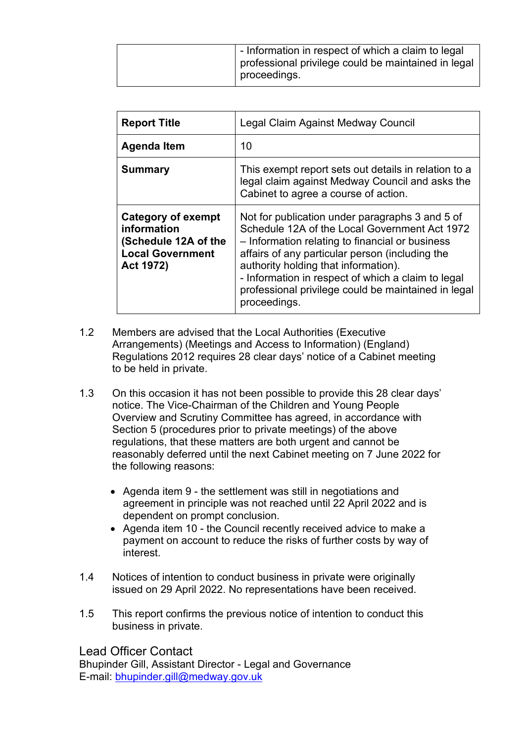|  | I - Information in respect of which a claim to legal<br>professional privilege could be maintained in legal<br>proceedings. |
|--|-----------------------------------------------------------------------------------------------------------------------------|
|  |                                                                                                                             |

| <b>Report Title</b>                                                                               | Legal Claim Against Medway Council                                                                                                                                                                                                                                                                                                                                          |
|---------------------------------------------------------------------------------------------------|-----------------------------------------------------------------------------------------------------------------------------------------------------------------------------------------------------------------------------------------------------------------------------------------------------------------------------------------------------------------------------|
| Agenda Item                                                                                       | 10                                                                                                                                                                                                                                                                                                                                                                          |
| <b>Summary</b>                                                                                    | This exempt report sets out details in relation to a<br>legal claim against Medway Council and asks the<br>Cabinet to agree a course of action.                                                                                                                                                                                                                             |
| Category of exempt<br>information<br>(Schedule 12A of the<br><b>Local Government</b><br>Act 1972) | Not for publication under paragraphs 3 and 5 of<br>Schedule 12A of the Local Government Act 1972<br>- Information relating to financial or business<br>affairs of any particular person (including the<br>authority holding that information).<br>- Information in respect of which a claim to legal<br>professional privilege could be maintained in legal<br>proceedings. |

- 1.2 Members are advised that the Local Authorities (Executive Arrangements) (Meetings and Access to Information) (England) Regulations 2012 requires 28 clear days' notice of a Cabinet meeting to be held in private.
- 1.3 On this occasion it has not been possible to provide this 28 clear days' notice. The Vice-Chairman of the Children and Young People Overview and Scrutiny Committee has agreed, in accordance with Section 5 (procedures prior to private meetings) of the above regulations, that these matters are both urgent and cannot be reasonably deferred until the next Cabinet meeting on 7 June 2022 for the following reasons:
	- Agenda item 9 the settlement was still in negotiations and agreement in principle was not reached until 22 April 2022 and is dependent on prompt conclusion.
	- Agenda item 10 the Council recently received advice to make a payment on account to reduce the risks of further costs by way of interest.
- 1.4 Notices of intention to conduct business in private were originally issued on 29 April 2022. No representations have been received.
- 1.5 This report confirms the previous notice of intention to conduct this business in private.

## Lead Officer Contact

Bhupinder Gill, Assistant Director - Legal and Governance E-mail: [bhupinder.gill@medway.gov.uk](mailto:bhupinder.gill@medway.gov.uk)